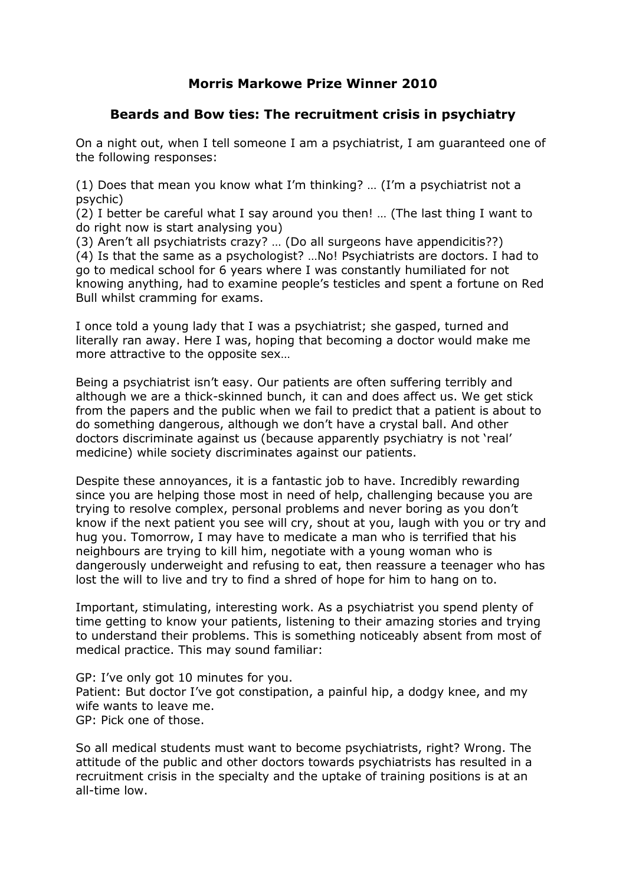## **Morris Markowe Prize Winner 2010**

## **Beards and Bow ties: The recruitment crisis in psychiatry**

On a night out, when I tell someone I am a psychiatrist, I am guaranteed one of the following responses:

(1) Does that mean you know what I'm thinking? … (I'm a psychiatrist not a psychic)

(2) I better be careful what I say around you then! … (The last thing I want to do right now is start analysing you)

(3) Aren't all psychiatrists crazy? … (Do all surgeons have appendicitis??) (4) Is that the same as a psychologist? …No! Psychiatrists are doctors. I had to go to medical school for 6 years where I was constantly humiliated for not knowing anything, had to examine people's testicles and spent a fortune on Red Bull whilst cramming for exams.

I once told a young lady that I was a psychiatrist; she gasped, turned and literally ran away. Here I was, hoping that becoming a doctor would make me more attractive to the opposite sex…

Being a psychiatrist isn't easy. Our patients are often suffering terribly and although we are a thick-skinned bunch, it can and does affect us. We get stick from the papers and the public when we fail to predict that a patient is about to do something dangerous, although we don't have a crystal ball. And other doctors discriminate against us (because apparently psychiatry is not 'real' medicine) while society discriminates against our patients.

Despite these annoyances, it is a fantastic job to have. Incredibly rewarding since you are helping those most in need of help, challenging because you are trying to resolve complex, personal problems and never boring as you don't know if the next patient you see will cry, shout at you, laugh with you or try and hug you. Tomorrow, I may have to medicate a man who is terrified that his neighbours are trying to kill him, negotiate with a young woman who is dangerously underweight and refusing to eat, then reassure a teenager who has lost the will to live and try to find a shred of hope for him to hang on to.

Important, stimulating, interesting work. As a psychiatrist you spend plenty of time getting to know your patients, listening to their amazing stories and trying to understand their problems. This is something noticeably absent from most of medical practice. This may sound familiar:

GP: I've only got 10 minutes for you. Patient: But doctor I've got constipation, a painful hip, a dodgy knee, and my wife wants to leave me. GP: Pick one of those.

So all medical students must want to become psychiatrists, right? Wrong. The attitude of the public and other doctors towards psychiatrists has resulted in a recruitment crisis in the specialty and the uptake of training positions is at an all-time low.